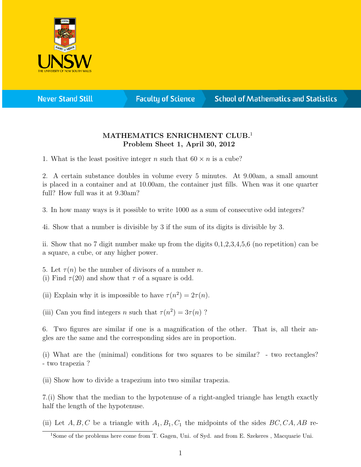

**Never Stand Still** 

**Faculty of Science** 

## **School of Mathematics and Statistics**

## MATHEMATICS ENRICHMENT CLUB.<sup>1</sup> Problem Sheet 1, April 30, 2012

1. What is the least positive integer n such that  $60 \times n$  is a cube?

2. A certain substance doubles in volume every 5 minutes. At 9.00am, a small amount is placed in a container and at 10.00am, the container just fills. When was it one quarter full? How full was it at 9.30am?

3. In how many ways is it possible to write 1000 as a sum of consecutive odd integers?

4i. Show that a number is divisible by 3 if the sum of its digits is divisible by 3.

ii. Show that no 7 digit number make up from the digits 0,1,2,3,4,5,6 (no repetition) can be a square, a cube, or any higher power.

5. Let  $\tau(n)$  be the number of divisors of a number n. (i) Find  $\tau(20)$  and show that  $\tau$  of a square is odd.

(ii) Explain why it is impossible to have  $\tau(n^2) = 2\tau(n)$ .

(iii) Can you find integers *n* such that  $\tau(n^2) = 3\tau(n)$ ?

6. Two figures are similar if one is a magnification of the other. That is, all their angles are the same and the corresponding sides are in proportion.

(i) What are the (minimal) conditions for two squares to be similar? - two rectangles? - two trapezia ?

(ii) Show how to divide a trapezium into two similar trapezia.

7.(i) Show that the median to the hypotenuse of a right-angled triangle has length exactly half the length of the hypotenuse.

(ii) Let  $A, B, C$  be a triangle with  $A_1, B_1, C_1$  the midpoints of the sides  $BC, CA, AB$  re-

<sup>&</sup>lt;sup>1</sup>Some of the problems here come from T. Gagen, Uni. of Syd. and from E. Szekeres, Macquarie Uni.